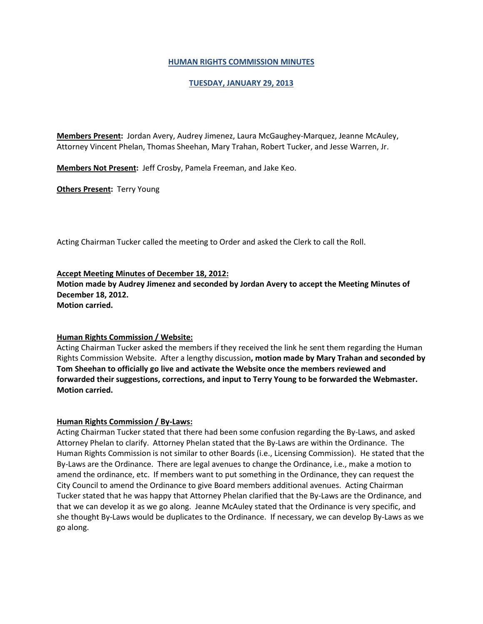## **HUMAN RIGHTS COMMISSION MINUTES**

## **TUESDAY, JANUARY 29, 2013**

**Members Present:** Jordan Avery, Audrey Jimenez, Laura McGaughey-Marquez, Jeanne McAuley, Attorney Vincent Phelan, Thomas Sheehan, Mary Trahan, Robert Tucker, and Jesse Warren, Jr.

**Members Not Present:** Jeff Crosby, Pamela Freeman, and Jake Keo.

**Others Present: Terry Young** 

Acting Chairman Tucker called the meeting to Order and asked the Clerk to call the Roll.

## **Accept Meeting Minutes of December 18, 2012:**

**Motion made by Audrey Jimenez and seconded by Jordan Avery to accept the Meeting Minutes of December 18, 2012.**

**Motion carried.**

### **Human Rights Commission / Website:**

Acting Chairman Tucker asked the members if they received the link he sent them regarding the Human Rights Commission Website. After a lengthy discussion**, motion made by Mary Trahan and seconded by Tom Sheehan to officially go live and activate the Website once the members reviewed and forwarded their suggestions, corrections, and input to Terry Young to be forwarded the Webmaster. Motion carried.**

### **Human Rights Commission / By-Laws:**

Acting Chairman Tucker stated that there had been some confusion regarding the By-Laws, and asked Attorney Phelan to clarify. Attorney Phelan stated that the By-Laws are within the Ordinance. The Human Rights Commission is not similar to other Boards (i.e., Licensing Commission). He stated that the By-Laws are the Ordinance. There are legal avenues to change the Ordinance, i.e., make a motion to amend the ordinance, etc. If members want to put something in the Ordinance, they can request the City Council to amend the Ordinance to give Board members additional avenues. Acting Chairman Tucker stated that he was happy that Attorney Phelan clarified that the By-Laws are the Ordinance, and that we can develop it as we go along. Jeanne McAuley stated that the Ordinance is very specific, and she thought By-Laws would be duplicates to the Ordinance. If necessary, we can develop By-Laws as we go along.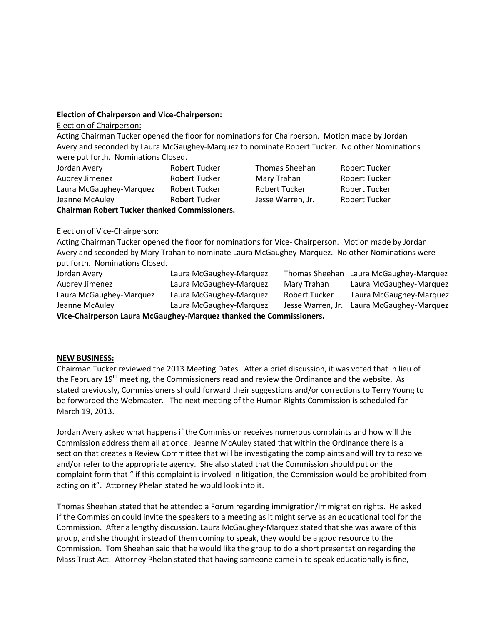# **Election of Chairperson and Vice-Chairperson:**

Election of Chairperson:

Acting Chairman Tucker opened the floor for nominations for Chairperson. Motion made by Jordan Avery and seconded by Laura McGaughey-Marquez to nominate Robert Tucker. No other Nominations were put forth. Nominations Closed.

| Jordan Avery                                         | Robert Tucker        | Thomas Sheehan       | <b>Robert Tucker</b> |
|------------------------------------------------------|----------------------|----------------------|----------------------|
| Audrey Jimenez                                       | <b>Robert Tucker</b> | Mary Trahan          | <b>Robert Tucker</b> |
| Laura McGaughey-Marquez                              | <b>Robert Tucker</b> | <b>Robert Tucker</b> | <b>Robert Tucker</b> |
| Jeanne McAuley                                       | Robert Tucker        | Jesse Warren, Jr.    | <b>Robert Tucker</b> |
| <b>Chairman Robert Tucker thanked Commissioners.</b> |                      |                      |                      |

## Election of Vice-Chairperson:

Acting Chairman Tucker opened the floor for nominations for Vice- Chairperson. Motion made by Jordan Avery and seconded by Mary Trahan to nominate Laura McGaughey-Marquez. No other Nominations were put forth. Nominations Closed.

Jordan Avery Laura McGaughey-Marquez Thomas Sheehan Laura McGaughey-Marquez Audrey Jimenez Laura McGaughey-Marquez Mary Trahan Laura McGaughey-Marquez Laura McGaughey-Marquez Laura McGaughey-Marquez Robert Tucker Laura McGaughey-Marquez Jeanne McAuley Laura McGaughey-Marquez Jesse Warren, Jr. Laura McGaughey-Marquez **Vice-Chairperson Laura McGaughey-Marquez thanked the Commissioners.**

### **NEW BUSINESS:**

Chairman Tucker reviewed the 2013 Meeting Dates. After a brief discussion, it was voted that in lieu of the February 19<sup>th</sup> meeting, the Commissioners read and review the Ordinance and the website. As stated previously, Commissioners should forward their suggestions and/or corrections to Terry Young to be forwarded the Webmaster. The next meeting of the Human Rights Commission is scheduled for March 19, 2013.

Jordan Avery asked what happens if the Commission receives numerous complaints and how will the Commission address them all at once. Jeanne McAuley stated that within the Ordinance there is a section that creates a Review Committee that will be investigating the complaints and will try to resolve and/or refer to the appropriate agency. She also stated that the Commission should put on the complaint form that " if this complaint is involved in litigation, the Commission would be prohibited from acting on it". Attorney Phelan stated he would look into it.

Thomas Sheehan stated that he attended a Forum regarding immigration/immigration rights. He asked if the Commission could invite the speakers to a meeting as it might serve as an educational tool for the Commission. After a lengthy discussion, Laura McGaughey-Marquez stated that she was aware of this group, and she thought instead of them coming to speak, they would be a good resource to the Commission. Tom Sheehan said that he would like the group to do a short presentation regarding the Mass Trust Act. Attorney Phelan stated that having someone come in to speak educationally is fine,